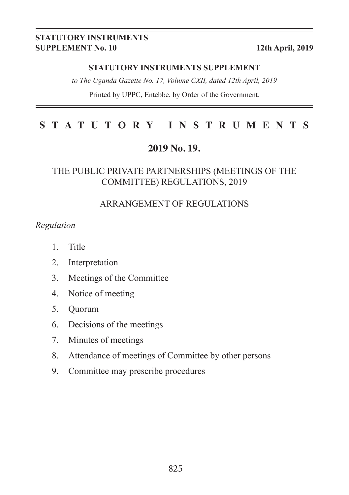#### **STATUTORY INSTRUMENTS SUPPLEMENT No. 10 12th April, 2019**

#### **STATUTORY INSTRUMENTS SUPPLEMENT**

*to The Uganda Gazette No. 17, Volume CXII, dated 12th April, 2019*

Printed by UPPC, Entebbe, by Order of the Government.

#### **STATUTORY INSTRUMENTS**

#### **2019 No. 19.**

#### THE PUBLIC PRIVATE PARTNERSHIPS (MEETINGS OF THE COMMITTEE) REGULATIONS, 2019

#### ARRANGEMENT OF REGULATIONS

#### *Regulation*

- 1. Title
- 2. Interpretation
- 3. Meetings of the Committee
- 4. Notice of meeting
- 5. Quorum
- 6. Decisions of the meetings
- 7. Minutes of meetings
- 8. Attendance of meetings of Committee by other persons
- 9. Committee may prescribe procedures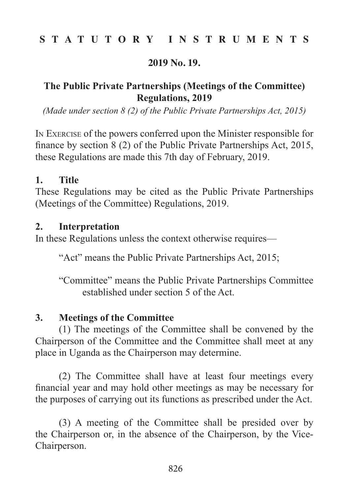## **STATUTORY INSTRUMENTS**

#### **2019 No. 19.**

# **The Public Private Partnerships (Meetings of the Committee) Regulations, 2019**

*(Made under section 8 (2) of the Public Private Partnerships Act, 2015)*

In Exercise of the powers conferred upon the Minister responsible for finance by section 8 (2) of the Public Private Partnerships Act, 2015, these Regulations are made this 7th day of February, 2019.

#### **1. Title**

These Regulations may be cited as the Public Private Partnerships (Meetings of the Committee) Regulations, 2019.

### **2. Interpretation**

In these Regulations unless the context otherwise requires—

"Act" means the Public Private Partnerships Act, 2015;

"Committee" means the Public Private Partnerships Committee established under section 5 of the Act.

# **3. Meetings of the Committee**

(1) The meetings of the Committee shall be convened by the Chairperson of the Committee and the Committee shall meet at any place in Uganda as the Chairperson may determine.

(2) The Committee shall have at least four meetings every financial year and may hold other meetings as may be necessary for the purposes of carrying out its functions as prescribed under the Act.

(3) A meeting of the Committee shall be presided over by the Chairperson or, in the absence of the Chairperson, by the Vice-Chairperson.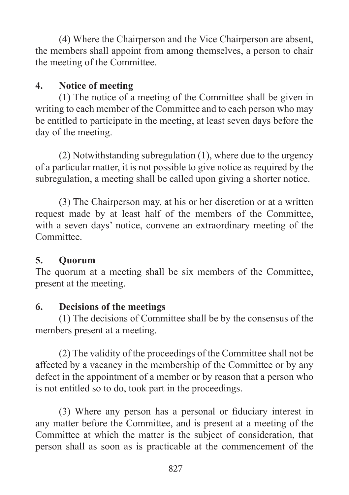(4) Where the Chairperson and the Vice Chairperson are absent, the members shall appoint from among themselves, a person to chair the meeting of the Committee.

# **4. Notice of meeting**

(1) The notice of a meeting of the Committee shall be given in writing to each member of the Committee and to each person who may be entitled to participate in the meeting, at least seven days before the day of the meeting.

(2) Notwithstanding subregulation (1), where due to the urgency of a particular matter, it is not possible to give notice as required by the subregulation, a meeting shall be called upon giving a shorter notice.

(3) The Chairperson may, at his or her discretion or at a written request made by at least half of the members of the Committee, with a seven days' notice, convene an extraordinary meeting of the Committee.

# **5. Quorum**

The quorum at a meeting shall be six members of the Committee, present at the meeting.

# **6. Decisions of the meetings**

(1) The decisions of Committee shall be by the consensus of the members present at a meeting.

(2) The validity of the proceedings of the Committee shall not be affected by a vacancy in the membership of the Committee or by any defect in the appointment of a member or by reason that a person who is not entitled so to do, took part in the proceedings.

(3) Where any person has a personal or fiduciary interest in any matter before the Committee, and is present at a meeting of the Committee at which the matter is the subject of consideration, that person shall as soon as is practicable at the commencement of the